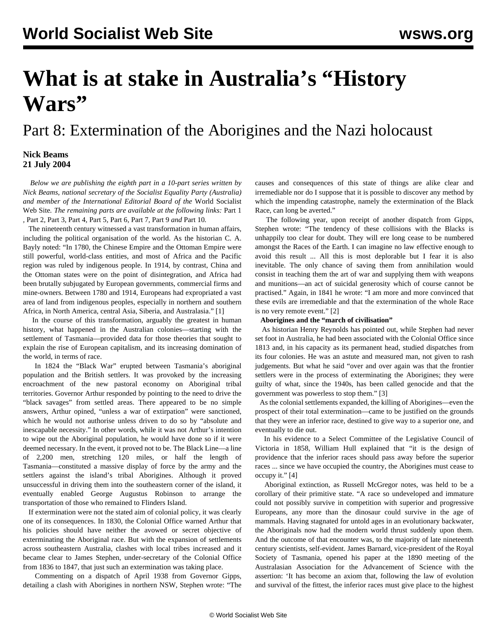# **What is at stake in Australia's "History Wars"**

## Part 8: Extermination of the Aborigines and the Nazi holocaust

#### **Nick Beams 21 July 2004**

 *Below we are publishing the eighth part in a 10-part series written by Nick Beams, national secretary of the Socialist Equality Party (Australia) and member of the International Editorial Board of the* World Socialist Web Site*. The remaining parts are available at the following links:* [Part 1](/en/articles/2004/07/hiw1-j12.html) *,* [Part 2](/en/articles/2004/07/hiw2-j13.html)*,* [Part 3](/en/articles/2004/07/hiw3-j14.html)*,* [Part 4](/en/articles/2004/07/hiw4-j15.html)*,* [Part 5](/en/articles/2004/07/hiw5-j16.html)*,* [Part 6](/en/articles/2004/07/hiw6-j19.html)*,* [Part 7](/en/articles/2004/07/hiw7-j20.html)*,* [Part 9](/en/articles/2004/07/hiw9-j22.html) *and* [Part 10](/en/articles/2004/07/hw10-j23.html)*.*

 The nineteenth century witnessed a vast transformation in human affairs, including the political organisation of the world. As the historian C. A. Bayly noted: "In 1780, the Chinese Empire and the Ottoman Empire were still powerful, world-class entities, and most of Africa and the Pacific region was ruled by indigenous people. In 1914, by contrast, China and the Ottoman states were on the point of disintegration, and Africa had been brutally subjugated by European governments, commercial firms and mine-owners. Between 1780 and 1914, Europeans had expropriated a vast area of land from indigenous peoples, especially in northern and southern Africa, in North America, central Asia, Siberia, and Australasia." [1]

 In the course of this transformation, arguably the greatest in human history, what happened in the Australian colonies—starting with the settlement of Tasmania—provided data for those theories that sought to explain the rise of European capitalism, and its increasing domination of the world, in terms of race.

 In 1824 the "Black War" erupted between Tasmania's aboriginal population and the British settlers. It was provoked by the increasing encroachment of the new pastoral economy on Aboriginal tribal territories. Governor Arthur responded by pointing to the need to drive the "black savages" from settled areas. There appeared to be no simple answers, Arthur opined, "unless a war of extirpation" were sanctioned, which he would not authorise unless driven to do so by "absolute and inescapable necessity." In other words, while it was not Arthur's intention to wipe out the Aboriginal population, he would have done so if it were deemed necessary. In the event, it proved not to be. The Black Line—a line of 2,200 men, stretching 120 miles, or half the length of Tasmania—constituted a massive display of force by the army and the settlers against the island's tribal Aborigines. Although it proved unsuccessful in driving them into the southeastern corner of the island, it eventually enabled George Augustus Robinson to arrange the transportation of those who remained to Flinders Island.

 If extermination were not the stated aim of colonial policy, it was clearly one of its consequences. In 1830, the Colonial Office warned Arthur that his policies should have neither the avowed or secret objective of exterminating the Aboriginal race. But with the expansion of settlements across southeastern Australia, clashes with local tribes increased and it became clear to James Stephen, under-secretary of the Colonial Office from 1836 to 1847, that just such an extermination was taking place.

 Commenting on a dispatch of April 1938 from Governor Gipps, detailing a clash with Aborigines in northern NSW, Stephen wrote: "The causes and consequences of this state of things are alike clear and irremediable nor do I suppose that it is possible to discover any method by which the impending catastrophe, namely the extermination of the Black Race, can long be averted."

 The following year, upon receipt of another dispatch from Gipps, Stephen wrote: "The tendency of these collisions with the Blacks is unhappily too clear for doubt. They will ere long cease to be numbered amongst the Races of the Earth. I can imagine no law effective enough to avoid this result ... All this is most deplorable but I fear it is also inevitable. The only chance of saving them from annihilation would consist in teaching them the art of war and supplying them with weapons and munitions—an act of suicidal generosity which of course cannot be practised." Again, in 1841 he wrote: "I am more and more convinced that these evils are irremediable and that the extermination of the whole Race is no very remote event." [2]

#### **Aborigines and the "march of civilisation"**

 As historian Henry Reynolds has pointed out, while Stephen had never set foot in Australia, he had been associated with the Colonial Office since 1813 and, in his capacity as its permanent head, studied dispatches from its four colonies. He was an astute and measured man, not given to rash judgements. But what he said "over and over again was that the frontier settlers were in the process of exterminating the Aborigines; they were guilty of what, since the 1940s, has been called genocide and that the government was powerless to stop them." [3]

 As the colonial settlements expanded, the killing of Aborigines—even the prospect of their total extermination—came to be justified on the grounds that they were an inferior race, destined to give way to a superior one, and eventually to die out.

 In his evidence to a Select Committee of the Legislative Council of Victoria in 1858, William Hull explained that "it is the design of providence that the inferior races should pass away before the superior races ... since we have occupied the country, the Aborigines must cease to occupy it." [4]

 Aboriginal extinction, as Russell McGregor notes, was held to be a corollary of their primitive state. "A race so undeveloped and immature could not possibly survive in competition with superior and progressive Europeans, any more than the dinosaur could survive in the age of mammals. Having stagnated for untold ages in an evolutionary backwater, the Aboriginals now had the modern world thrust suddenly upon them. And the outcome of that encounter was, to the majority of late nineteenth century scientists, self-evident. James Barnard, vice-president of the Royal Society of Tasmania, opened his paper at the 1890 meeting of the Australasian Association for the Advancement of Science with the assertion: 'It has become an axiom that, following the law of evolution and survival of the fittest, the inferior races must give place to the highest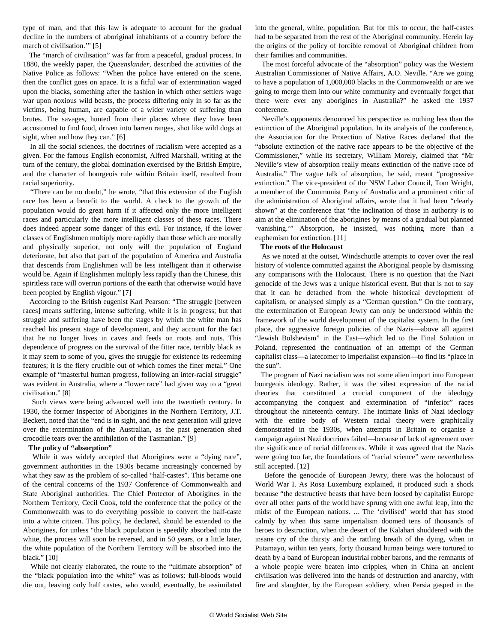type of man, and that this law is adequate to account for the gradual decline in the numbers of aboriginal inhabitants of a country before the march of civilisation.'" [5]

 The "march of civilisation" was far from a peaceful, gradual process. In 1880, the weekly paper, the *Queenslander,* described the activities of the Native Police as follows: "When the police have entered on the scene, then the conflict goes on apace. It is a fitful war of extermination waged upon the blacks, something after the fashion in which other settlers wage war upon noxious wild beasts, the process differing only in so far as the victims, being human, are capable of a wider variety of suffering than brutes. The savages, hunted from their places where they have been accustomed to find food, driven into barren ranges, shot like wild dogs at sight, when and how they can." [6]

 In all the social sciences, the doctrines of racialism were accepted as a given. For the famous English economist, Alfred Marshall, writing at the turn of the century, the global domination exercised by the British Empire, and the character of bourgeois rule within Britain itself, resulted from racial superiority.

 "There can be no doubt," he wrote, "that this extension of the English race has been a benefit to the world. A check to the growth of the population would do great harm if it affected only the more intelligent races and particularly the more intelligent classes of these races. There does indeed appear some danger of this evil. For instance, if the lower classes of Englishmen multiply more rapidly than those which are morally and physically superior, not only will the population of England deteriorate, but also that part of the population of America and Australia that descends from Englishmen will be less intelligent than it otherwise would be. Again if Englishmen multiply less rapidly than the Chinese, this spiritless race will overrun portions of the earth that otherwise would have been peopled by English vigour." [7]

 According to the British eugenist Karl Pearson: "The struggle [between races] means suffering, intense suffering, while it is in progress; but that struggle and suffering have been the stages by which the white man has reached his present stage of development, and they account for the fact that he no longer lives in caves and feeds on roots and nuts. This dependence of progress on the survival of the fitter race, terribly black as it may seem to some of you, gives the struggle for existence its redeeming features; it is the fiery crucible out of which comes the finer metal." One example of "masterful human progress, following an inter-racial struggle" was evident in Australia, where a "lower race" had given way to a "great civilisation." [8]

 Such views were being advanced well into the twentieth century. In 1930, the former Inspector of Aborigines in the Northern Territory, J.T. Beckett, noted that the "end is in sight, and the next generation will grieve over the extermination of the Australian, as the past generation shed crocodile tears over the annihilation of the Tasmanian." [9]

#### **The policy of "absorption"**

 While it was widely accepted that Aborigines were a "dying race", government authorities in the 1930s became increasingly concerned by what they saw as the problem of so-called "half-castes". This became one of the central concerns of the 1937 Conference of Commonwealth and State Aboriginal authorities. The Chief Protector of Aborigines in the Northern Territory, Cecil Cook, told the conference that the policy of the Commonwealth was to do everything possible to convert the half-caste into a white citizen. This policy, he declared, should be extended to the Aborigines, for unless "the black population is speedily absorbed into the white, the process will soon be reversed, and in 50 years, or a little later, the white population of the Northern Territory will be absorbed into the black." [10]

 While not clearly elaborated, the route to the "ultimate absorption" of the "black population into the white" was as follows: full-bloods would die out, leaving only half castes, who would, eventually, be assimilated into the general, white, population. But for this to occur, the half-castes had to be separated from the rest of the Aboriginal community. Herein lay the origins of the policy of forcible removal of Aboriginal children from their families and communities.

 The most forceful advocate of the "absorption" policy was the Western Australian Commissioner of Native Affairs, A.O. Neville. "Are we going to have a population of 1,000,000 blacks in the Commonwealth or are we going to merge them into our white community and eventually forget that there were ever any aborigines in Australia?" he asked the 1937 conference.

 Neville's opponents denounced his perspective as nothing less than the extinction of the Aboriginal population. In its analysis of the conference, the Association for the Protection of Native Races declared that the "absolute extinction of the native race appears to be the objective of the Commissioner," while its secretary, William Morely, claimed that "Mr Neville's view of absorption really means extinction of the native race of Australia." The vague talk of absorption, he said, meant "progressive extinction." The vice-president of the NSW Labor Council, Tom Wright, a member of the Communist Party of Australia and a prominent critic of the administration of Aboriginal affairs, wrote that it had been "clearly shown" at the conference that "the inclination of those in authority is to aim at the elimination of the aborigines by means of a gradual but planned 'vanishing.'" Absorption, he insisted, was nothing more than a euphemism for extinction. [11]

#### **The roots of the Holocaust**

 As we noted at the outset, Windschuttle attempts to cover over the real history of violence committed against the Aboriginal people by dismissing any comparisons with the Holocaust. There is no question that the Nazi genocide of the Jews was a unique historical event. But that is not to say that it can be detached from the whole historical development of capitalism, or analysed simply as a "German question." On the contrary, the extermination of European Jewry can only be understood within the framework of the world development of the capitalist system. In the first place, the aggressive foreign policies of the Nazis—above all against "Jewish Bolshevism" in the East—which led to the Final Solution in Poland, represented the continuation of an attempt of the German capitalist class—a latecomer to imperialist expansion—to find its "place in the sun".

 The program of Nazi racialism was not some alien import into European bourgeois ideology. Rather, it was the vilest expression of the racial theories that constituted a crucial component of the ideology accompanying the conquest and extermination of "inferior" races throughout the nineteenth century. The intimate links of Nazi ideology with the entire body of Western racial theory were graphically demonstrated in the 1930s, when attempts in Britain to organise a campaign against Nazi doctrines failed—because of lack of agreement over the significance of racial differences. While it was agreed that the Nazis were going too far, the foundations of "racial science" were nevertheless still accepted. [12]

 Before the genocide of European Jewry, there was the holocaust of World War I. As Rosa Luxemburg explained, it produced such a shock because "the destructive beasts that have been loosed by capitalist Europe over all other parts of the world have sprung with one awful leap, into the midst of the European nations. ... The 'civilised' world that has stood calmly by when this same imperialism doomed tens of thousands of heroes to destruction, when the desert of the Kalahari shuddered with the insane cry of the thirsty and the rattling breath of the dying, when in Putamayo, within ten years, forty thousand human beings were tortured to death by a band of European industrial robber barons, and the remnants of a whole people were beaten into cripples, when in China an ancient civilisation was delivered into the hands of destruction and anarchy, with fire and slaughter, by the European soldiery, when Persia gasped in the